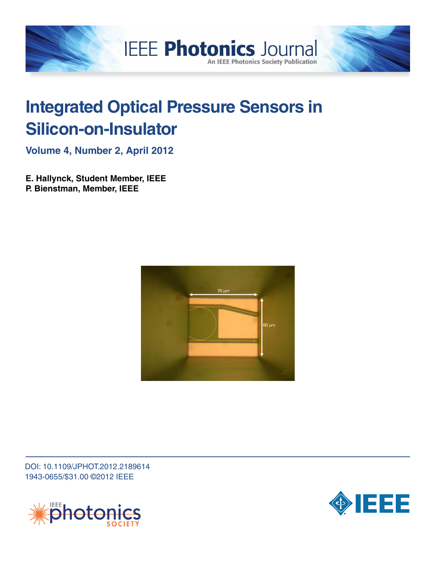

# **Integrated Optical Pressure Sensors in Silicon-on-Insulator**

**Volume 4, Number 2, April 2012**

**E. Hallynck, Student Member, IEEE P. Bienstman, Member, IEEE**



DOI: 10.1109/JPHOT.2012.2189614 1943-0655/\$31.00 ©2012 IEEE



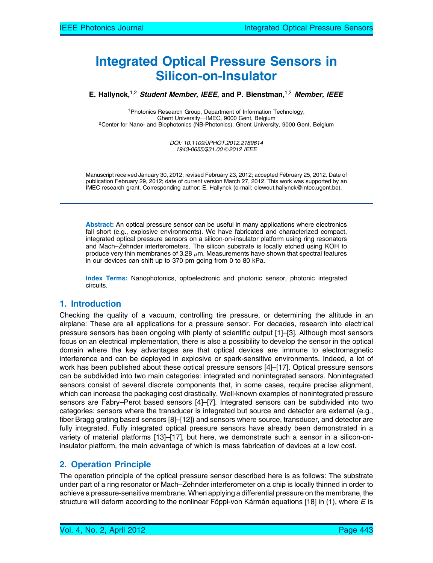# Integrated Optical Pressure Sensors in Silicon-on-Insulator

E. Hallynck,<sup>1,2</sup> Student Member, IEEE, and P. Bienstman,<sup>1,2</sup> Member, IEEE

<sup>1</sup>Photonics Research Group, Department of Information Technology,<br>Ghent University—IMEC, 9000 Gent, Belgium <sup>2</sup>Center for Nano- and Biophotonics (NB-Photonics), Ghent University, 9000 Gent, Belgium

> DOI: 10.1109/JPHOT.2012.2189614 1943-0655/\$31.00 © 2012 IEEE

Manuscript received January 30, 2012; revised February 23, 2012; accepted February 25, 2012. Date of publication February 29, 2012; date of current version March 27, 2012. This work was supported by an IMEC research grant. Corresponding author: E. Hallynck (e-mail: elewout.hallynck@intec.ugent.be).

Abstract: An optical pressure sensor can be useful in many applications where electronics fall short (e.g., explosive environments). We have fabricated and characterized compact, integrated optical pressure sensors on a silicon-on-insulator platform using ring resonators and Mach–Zehnder interferometers. The silicon substrate is locally etched using KOH to produce very thin membranes of 3.28  $\mu$ m. Measurements have shown that spectral features in our devices can shift up to 370 pm going from 0 to 80 kPa.

Index Terms: Nanophotonics, optoelectronic and photonic sensor, photonic integrated circuits.

# 1. Introduction

Checking the quality of a vacuum, controlling tire pressure, or determining the altitude in an airplane: These are all applications for a pressure sensor. For decades, research into electrical pressure sensors has been ongoing with plenty of scientific output [1]–[3]. Although most sensors focus on an electrical implementation, there is also a possibility to develop the sensor in the optical domain where the key advantages are that optical devices are immune to electromagnetic interference and can be deployed in explosive or spark-sensitive environments. Indeed, a lot of work has been published about these optical pressure sensors [4]–[17]. Optical pressure sensors can be subdivided into two main categories: integrated and nonintegrated sensors. Nonintegrated sensors consist of several discrete components that, in some cases, require precise alignment, which can increase the packaging cost drastically. Well-known examples of nonintegrated pressure sensors are Fabry–Perot based sensors [4]–[7]. Integrated sensors can be subdivided into two categories: sensors where the transducer is integrated but source and detector are external (e.g., fiber Bragg grating based sensors [8]–[12]) and sensors where source, transducer, and detector are fully integrated. Fully integrated optical pressure sensors have already been demonstrated in a variety of material platforms [13]–[17], but here, we demonstrate such a sensor in a silicon-oninsulator platform, the main advantage of which is mass fabrication of devices at a low cost.

# 2. Operation Principle

The operation principle of the optical pressure sensor described here is as follows: The substrate under part of a ring resonator or Mach–Zehnder interferometer on a chip is locally thinned in order to achieve a pressure-sensitive membrane. When applying a differential pressure on the membrane, the structure will deform according to the nonlinear Föppl-von Kármán equations [18] in (1), where E is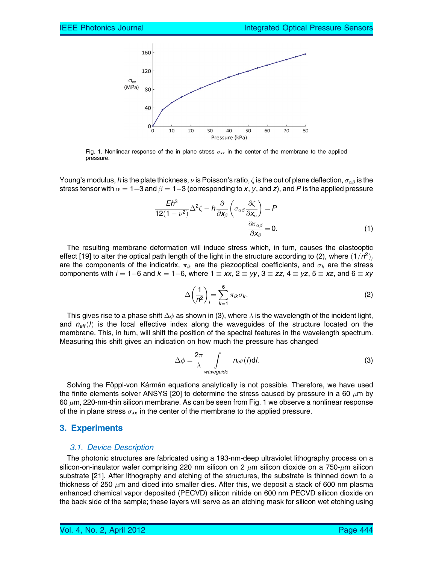

Fig. 1. Nonlinear response of the in plane stress  $\sigma_{xx}$  in the center of the membrane to the applied pressure.

Young's modulus, h is the plate thickness,  $\nu$  is Poisson's ratio,  $\zeta$  is the out of plane deflection,  $\sigma_{\alpha\beta}$  is the stress tensor with  $\alpha=1{-}3$  and  $\beta=1{-}3$  (corresponding to  ${\sf x},$   ${\sf y},$  and  ${\sf z}$ ), and  $P$  is the applied pressure

$$
\frac{Eh^3}{12(1-\nu^2)}\Delta^2\zeta - h\frac{\partial}{\partial x_\beta}\left(\sigma_{\alpha\beta}\frac{\partial\zeta}{\partial x_\alpha}\right) = P
$$

$$
\frac{\partial\sigma_{\alpha\beta}}{\partial x_\beta} = 0.
$$
 (1)

The resulting membrane deformation will induce stress which, in turn, causes the elastooptic effect [19] to alter the optical path length of the light in the structure according to (2), where  $(1/n^2)$ are the components of the indicatrix,  $\pi_{ik}$  are the piezooptical coefficients, and  $\sigma_k$  are the stress components with  $i=1-6$  and  $k=1-6,$  where  $1\equiv xx,$   $2\equiv yy,$   $3\equiv zz,$   $4\equiv yz,$   $5\equiv xz,$  and  $6\equiv xy$ 

$$
\Delta\left(\frac{1}{n^2}\right)_i = \sum_{k=1}^6 \pi_{ik}\sigma_k.
$$
 (2)

This gives rise to a phase shift  $\Delta \phi$  as shown in (3), where  $\lambda$  is the wavelength of the incident light, and  $n_{\text{eff}}(l)$  is the local effective index along the waveguides of the structure located on the membrane. This, in turn, will shift the position of the spectral features in the wavelength spectrum. Measuring this shift gives an indication on how much the pressure has changed

$$
\Delta \phi = \frac{2\pi}{\lambda} \int_{\text{waveguide}} n_{\text{eff}}(l) \text{d}l. \tag{3}
$$

Solving the Föppl-von Kármán equations analytically is not possible. Therefore, we have used the finite elements solver ANSYS [20] to determine the stress caused by pressure in a 60  $\mu$ m by 60  $\mu$ m, 220-nm-thin silicon membrane. As can be seen from Fig. 1 we observe a nonlinear response of the in plane stress  $\sigma_{xx}$  in the center of the membrane to the applied pressure.

#### 3. Experiments

#### 3.1. Device Description

The photonic structures are fabricated using a 193-nm-deep ultraviolet lithography process on a silicon-on-insulator wafer comprising 220 nm silicon on 2  $\mu$ m silicon dioxide on a 750- $\mu$ m silicon substrate [21]. After lithography and etching of the structures, the substrate is thinned down to a thickness of 250  $\mu$ m and diced into smaller dies. After this, we deposit a stack of 600 nm plasma enhanced chemical vapor deposited (PECVD) silicon nitride on 600 nm PECVD silicon dioxide on the back side of the sample; these layers will serve as an etching mask for silicon wet etching using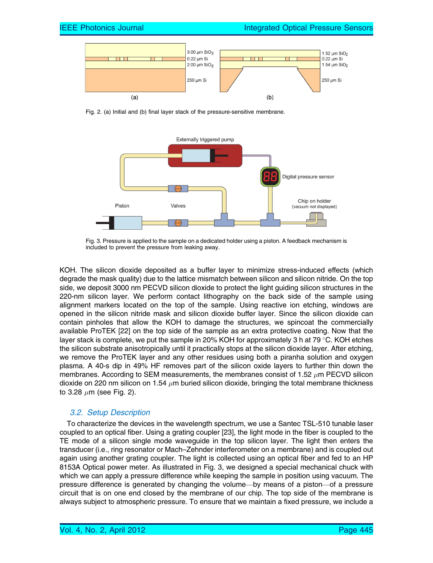

Fig. 2. (a) Initial and (b) final layer stack of the pressure-sensitive membrane.



Fig. 3. Pressure is applied to the sample on a dedicated holder using a piston. A feedback mechanism is included to prevent the pressure from leaking away.

KOH. The silicon dioxide deposited as a buffer layer to minimize stress-induced effects (which degrade the mask quality) due to the lattice mismatch between silicon and silicon nitride. On the top side, we deposit 3000 nm PECVD silicon dioxide to protect the light guiding silicon structures in the 220-nm silicon layer. We perform contact lithography on the back side of the sample using alignment markers located on the top of the sample. Using reactive ion etching, windows are opened in the silicon nitride mask and silicon dioxide buffer layer. Since the silicon dioxide can contain pinholes that allow the KOH to damage the structures, we spincoat the commercially available ProTEK [22] on the top side of the sample as an extra protective coating. Now that the layer stack is complete, we put the sample in 20% KOH for approximately 3 h at 79  $\degree$ C. KOH etches the silicon substrate anisotropically until it practically stops at the silicon dioxide layer. After etching, we remove the ProTEK layer and any other residues using both a piranha solution and oxygen plasma. A 40-s dip in 49% HF removes part of the silicon oxide layers to further thin down the membranes. According to SEM measurements, the membranes consist of 1.52  $\mu$ m PECVD silicon dioxide on 220 nm silicon on 1.54  $\mu$ m buried silicon dioxide, bringing the total membrane thickness to 3.28  $\mu$ m (see Fig. 2).

### 3.2. Setup Description

To characterize the devices in the wavelength spectrum, we use a Santec TSL-510 tunable laser coupled to an optical fiber. Using a grating coupler [23], the light mode in the fiber is coupled to the TE mode of a silicon single mode waveguide in the top silicon layer. The light then enters the transducer (i.e., ring resonator or Mach–Zehnder interferometer on a membrane) and is coupled out again using another grating coupler. The light is collected using an optical fiber and fed to an HP 8153A Optical power meter. As illustrated in Fig. 3, we designed a special mechanical chuck with which we can apply a pressure difference while keeping the sample in position using vacuum. The pressure difference is generated by changing the volume—by means of a piston—of a pressure circuit that is on one end closed by the membrane of our chip. The top side of the membrane is always subject to atmospheric pressure. To ensure that we maintain a fixed pressure, we include a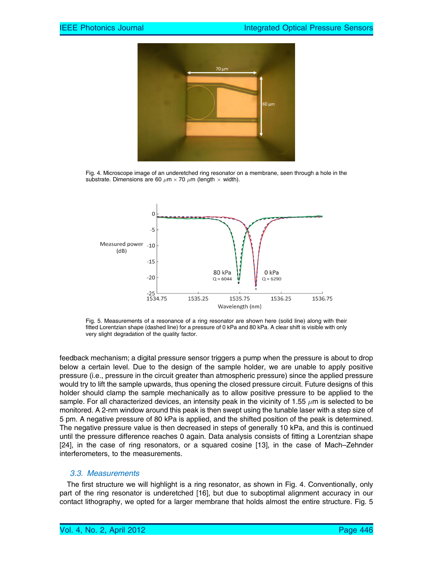

Fig. 4. Microscope image of an underetched ring resonator on a membrane, seen through a hole in the substrate. Dimensions are 60  $\mu$ m  $\times$  70  $\mu$ m (length  $\times$  width).



Fig. 5. Measurements of a resonance of a ring resonator are shown here (solid line) along with their fitted Lorentzian shape (dashed line) for a pressure of 0 kPa and 80 kPa. A clear shift is visible with only very slight degradation of the quality factor.

feedback mechanism; a digital pressure sensor triggers a pump when the pressure is about to drop below a certain level. Due to the design of the sample holder, we are unable to apply positive pressure (i.e., pressure in the circuit greater than atmospheric pressure) since the applied pressure would try to lift the sample upwards, thus opening the closed pressure circuit. Future designs of this holder should clamp the sample mechanically as to allow positive pressure to be applied to the sample. For all characterized devices, an intensity peak in the vicinity of 1.55  $\mu$ m is selected to be monitored. A 2-nm window around this peak is then swept using the tunable laser with a step size of 5 pm. A negative pressure of 80 kPa is applied, and the shifted position of the peak is determined. The negative pressure value is then decreased in steps of generally 10 kPa, and this is continued until the pressure difference reaches 0 again. Data analysis consists of fitting a Lorentzian shape [24], in the case of ring resonators, or a squared cosine [13], in the case of Mach–Zehnder interferometers, to the measurements.

### 3.3. Measurements

The first structure we will highlight is a ring resonator, as shown in Fig. 4. Conventionally, only part of the ring resonator is underetched [16], but due to suboptimal alignment accuracy in our contact lithography, we opted for a larger membrane that holds almost the entire structure. Fig. 5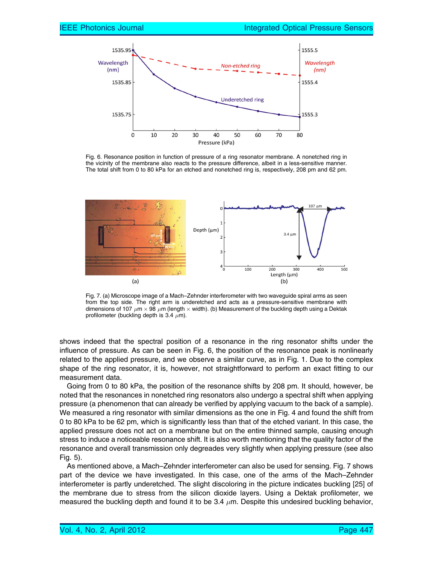

Fig. 6. Resonance position in function of pressure of a ring resonator membrane. A nonetched ring in the vicinity of the membrane also reacts to the pressure difference, albeit in a less-sensitive manner. The total shift from 0 to 80 kPa for an etched and nonetched ring is, respectively, 208 pm and 62 pm.



Fig. 7. (a) Microscope image of a Mach–Zehnder interferometer with two waveguide spiral arms as seen from the top side. The right arm is underetched and acts as a pressure-sensitive membrane with dimensions of 107  $\mu$ m  $\times$  98  $\mu$ m (length  $\times$  width). (b) Measurement of the buckling depth using a Dektak profilometer (buckling depth is 3.4  $\mu$ m).

shows indeed that the spectral position of a resonance in the ring resonator shifts under the influence of pressure. As can be seen in Fig. 6, the position of the resonance peak is nonlinearly related to the applied pressure, and we observe a similar curve, as in Fig. 1. Due to the complex shape of the ring resonator, it is, however, not straightforward to perform an exact fitting to our measurement data.

Going from 0 to 80 kPa, the position of the resonance shifts by 208 pm. It should, however, be noted that the resonances in nonetched ring resonators also undergo a spectral shift when applying pressure (a phenomenon that can already be verified by applying vacuum to the back of a sample). We measured a ring resonator with similar dimensions as the one in Fig. 4 and found the shift from 0 to 80 kPa to be 62 pm, which is significantly less than that of the etched variant. In this case, the applied pressure does not act on a membrane but on the entire thinned sample, causing enough stress to induce a noticeable resonance shift. It is also worth mentioning that the quality factor of the resonance and overall transmission only degreades very slightly when applying pressure (see also Fig. 5).

As mentioned above, a Mach–Zehnder interferometer can also be used for sensing. Fig. 7 shows part of the device we have investigated. In this case, one of the arms of the Mach–Zehnder interferometer is partly underetched. The slight discoloring in the picture indicates buckling [25] of the membrane due to stress from the silicon dioxide layers. Using a Dektak profilometer, we measured the buckling depth and found it to be 3.4  $\mu$ m. Despite this undesired buckling behavior,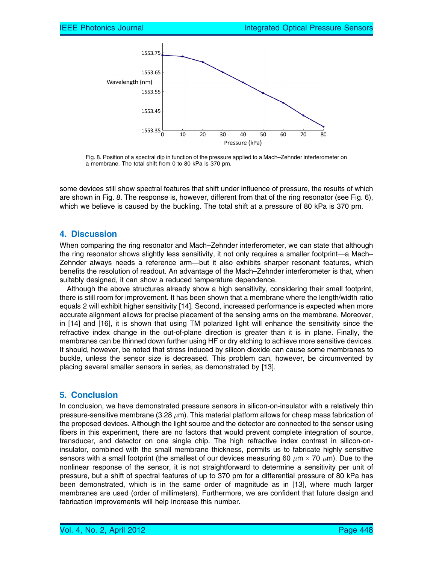

Fig. 8. Position of a spectral dip in function of the pressure applied to a Mach–Zehnder interferometer on a membrane. The total shift from 0 to 80 kPa is 370 pm.

some devices still show spectral features that shift under influence of pressure, the results of which are shown in Fig. 8. The response is, however, different from that of the ring resonator (see Fig. 6), which we believe is caused by the buckling. The total shift at a pressure of 80 kPa is 370 pm.

# 4. Discussion

When comparing the ring resonator and Mach–Zehnder interferometer, we can state that although the ring resonator shows slightly less sensitivity, it not only requires a smaller footprint—a Mach– Zehnder always needs a reference arm—but it also exhibits sharper resonant features, which benefits the resolution of readout. An advantage of the Mach–Zehnder interferometer is that, when suitably designed, it can show a reduced temperature dependence.

Although the above structures already show a high sensitivity, considering their small footprint, there is still room for improvement. It has been shown that a membrane where the length/width ratio equals 2 will exhibit higher sensitivity [14]. Second, increased performance is expected when more accurate alignment allows for precise placement of the sensing arms on the membrane. Moreover, in [14] and [16], it is shown that using TM polarized light will enhance the sensitivity since the refractive index change in the out-of-plane direction is greater than it is in plane. Finally, the membranes can be thinned down further using HF or dry etching to achieve more sensitive devices. It should, however, be noted that stress induced by silicon dioxide can cause some membranes to buckle, unless the sensor size is decreased. This problem can, however, be circumvented by placing several smaller sensors in series, as demonstrated by [13].

### 5. Conclusion

In conclusion, we have demonstrated pressure sensors in silicon-on-insulator with a relatively thin pressure-sensitive membrane (3.28  $\mu$ m). This material platform allows for cheap mass fabrication of the proposed devices. Although the light source and the detector are connected to the sensor using fibers in this experiment, there are no factors that would prevent complete integration of source, transducer, and detector on one single chip. The high refractive index contrast in silicon-oninsulator, combined with the small membrane thickness, permits us to fabricate highly sensitive sensors with a small footprint (the smallest of our devices measuring 60  $\mu$ m  $\times$  70  $\mu$ m). Due to the nonlinear response of the sensor, it is not straightforward to determine a sensitivity per unit of pressure, but a shift of spectral features of up to 370 pm for a differential pressure of 80 kPa has been demonstrated, which is in the same order of magnitude as in [13], where much larger membranes are used (order of millimeters). Furthermore, we are confident that future design and fabrication improvements will help increase this number.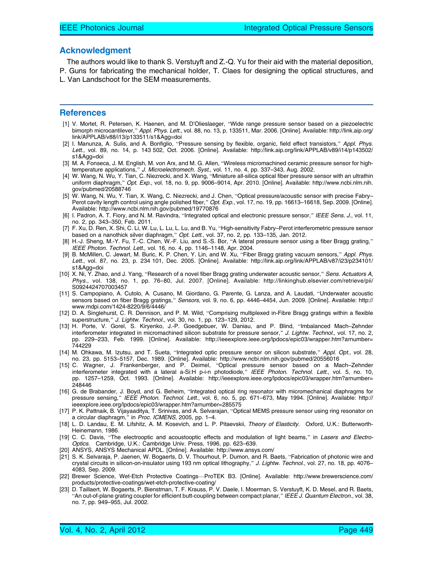#### Acknowledgment

The authors would like to thank S. Verstuyft and Z.-Q. Yu for their aid with the material deposition, P. Guns for fabricating the mechanical holder, T. Claes for designing the optical structures, and L. Van Landschoot for the SEM measurements.

#### References

- [1] V. Mortet, R. Petersen, K. Haenen, and M. D'Olieslaeger, "Wide range pressure sensor based on a piezoelectric bimorph microcantilever," Appl. Phys. Lett., vol. 88, no. 13, p. 133511, Mar. 2006. [Online]. Available: http://link.aip.org/ link/APPLAB/v88/i13/p133511/s1&Agg=doi.
- [2] I. Manunza, A. Sulis, and A. Bonfiglio, "Pressure sensing by flexible, organic, field effect transistors," Appl. Phys. Lett., vol. 89, no. 14, p. 143 502, Oct. 2006. [Online]. Available: http://link.aip.org/link/APPLAB/v89/i14/p143502/ s1&Agg=doi.
- [3] M. A. Fonseca, J. M. English, M. von Arx, and M. G. Allen, "Wireless micromachined ceramic pressure sensor for hightemperature applications," J. Microelectromech. Syst., vol. 11, no. 4, pp. 337–343, Aug. 2002.
- [4] W. Wang, N. Wu, Y. Tian, C. Niezrecki, and X. Wang, "Miniature all-silica optical fiber pressure sensor with an ultrathin uniform diaphragm," Opt. Exp., vol. 18, no. 9, pp. 9006–9014, Apr. 2010. [Online]. Available: http://www.ncbi.nlm.nih. gov/pubmed/20588746.
- [5] W. Wang, N. Wu, Y. Tian, X. Wang, C. Niezrecki, and J. Chen, "Optical pressure/acoustic sensor with precise Fabry– Perot cavity length control using angle polished fiber," Opt. Exp., vol. 17, no. 19, pp. 16613–16618, Sep. 2009. [Online]. Available: http://www.ncbi.nlm.nih.gov/pubmed/19770876.
- [6] I. Padron, A. T. Fiory, and N. M. Ravindra, "Integrated optical and electronic pressure sensor," IEEE Sens. J., vol. 11, no. 2, pp. 343–350, Feb. 2011.
- [7] F. Xu, D. Ren, X. Shi, C. Li, W. Lu, L. Lu, L. Lu, and B. Yu, "High-sensitivity Fabry–Perot interferometric pressure sensor based on a nanothick silver diaphragm," Opt. Lett., vol. 37, no. 2, pp. 133–135, Jan. 2012.
- [8] H.-J. Sheng, M.-Y. Fu, T.-C. Chen, W.-F. Liu, and S.-S. Bor, "A lateral pressure sensor using a fiber Bragg grating," IEEE Photon. Technol. Lett., vol. 16, no. 4, pp. 1146–1148, Apr. 2004.
- [9] B. McMillen, C. Jewart, M. Buric, K. P. Chen, Y. Lin, and W. Xu, "Fiber Bragg grating vacuum sensors," Appl. Phys. Lett., vol. 87, no. 23, p. 234 101, Dec. 2005. [Online]. Available: http://link.aip.org/link/APPLAB/v87/i23/p234101/ s1&Agg=doi.
- [10] X. Ni, Y. Zhao, and J. Yang, "Research of a novel fiber Bragg grating underwater acoustic sensor," Sens. Actuators A, Phys., vol. 138, no. 1, pp. 76–80, Jul. 2007. [Online]. Available: http://linkinghub.elsevier.com/retrieve/pii/ S0924424707003457.
- [11] S. Campopiano, A. Cutolo, A. Cusano, M. Giordano, G. Parente, G. Lanza, and A. Laudati, "Underwater acoustic sensors based on fiber Bragg gratings," Sensors, vol. 9, no. 6, pp. 4446-4454, Jun. 2009. [Online]. Available: http:// www.mdpi.com/1424-8220/9/6/4446/
- [12] D. A. Singlehurst, C. R. Dennison, and P. M. Wild, "Comprising multiplexed in-Fibre Bragg gratings within a flexible superstructure," J. Lightw. Technol., vol. 30, no. 1, pp. 123–129, 2012.
- [13] H. Porte, V. Gorel, S. Kiryenko, J.-P. Goedgebuer, W. Daniau, and P. Blind, "Imbalanced Mach–Zehnder interferometer integrated in micromachined silicon substrate for pressure sensor," J. Lightw. Technol., vol. 17, no. 2, pp. 229–233, Feb. 1999. [Online]. Available: http://ieeexplore.ieee.org/lpdocs/epic03/wrapper.htm?arnumber= 744229.
- [14] M. Ohkawa, M. Izutsu, and T. Sueta, "Integrated optic pressure sensor on silicon substrate," Appl. Opt., vol. 28, no. 23, pp. 5153–5157, Dec. 1989. [Online]. Available: http://www.ncbi.nlm.nih.gov/pubmed/20556016.
- [15] C. Wagner, J. Frankenberger, and P. Deimel, "Optical pressure sensor based on a Mach–Zehnder interferometer integrated with a lateral a-Si:H p-i-n photodiode," IEEE Photon. Technol. Lett., vol. 5, no. 10, pp. 1257–1259, Oct. 1993. [Online]. Available: http://ieeexplore.ieee.org/lpdocs/epic03/wrapper.htm?arnumber= 248446.
- [16] G. de Brabander, J. Boyd, and G. Beheim, "Integrated optical ring resonator with micromechanical diaphragms for pressure sensing," IEEE Photon. Technol. Lett., vol. 6, no. 5, pp. 671–673, May 1994. [Online]. Available: http:// ieeexplore.ieee.org/lpdocs/epic03/wrapper.htm?arnumber=285575.
- [17] P. K. Pattnaik, B. Vijayaaditya, T. Srinivas, and A. Selvarajan, "Optical MEMS pressure sensor using ring resonator on a circular diaphragm," in Proc. ICMENS, 2005, pp. 1-4.
- [18] L. D. Landau, E. M. Lifshitz, A. M. Kosevich, and L. P. Pitaevskii, Theory of Elasticity. Oxford, U.K.: Butterworth-Heinemann, 1986.
- [19] C. C. Davis, "The electrooptic and acoustooptic effects and modulation of light beams," in Lasers and Electro-Optics. Cambridge, U.K.: Cambridge Univ. Press, 1996, pp. 623–639.
- [20] ANSYS, ANSYS Mechanical APDL. [Online]. Available: http://www.ansys.com/
- [21] S. K. Selvaraja, P. Jaenen, W. Bogaerts, D. V. Thourhout, P. Dumon, and R. Baets, "Fabrication of photonic wire and crystal circuits in silicon-on-insulator using 193 nm optical lithography," J. Lightw. Technol., vol. 27, no. 18, pp. 4076– 4083, Sep. 2009.
- [22] Brewer Science, Wet-Etch Protective Coatings-ProTEK B3. [Online]. Available: http://www.brewerscience.com/ products/protective-coatings/wet-etch-protective-coating/
- [23] D. Taillaert, W. Bogaerts, P. Bienstman, T. F. Krauss, P. V. Daele, I. Moerman, S. Verstuyft, K. D. Mesel, and R. Baets, "An out-of-plane grating coupler for efficient butt-coupling between compact planar," IEEE J. Quantum Electron., vol. 38, no. 7, pp. 949–955, Jul. 2002.